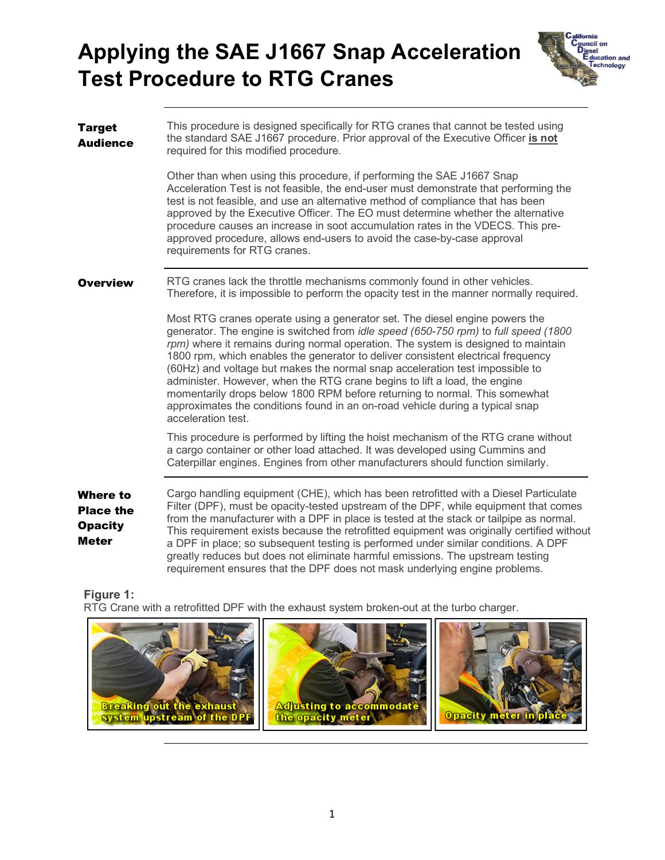# **Test Procedure to RTG Cranes Applying the SAE J1667 Snap Acceleration**



| <b>Target</b><br><b>Audience</b>                                      | This procedure is designed specifically for RTG cranes that cannot be tested using<br>the standard SAE J1667 procedure. Prior approval of the Executive Officer is not<br>required for this modified procedure.                                                                                                                                                                                                                                                                                                                                                                                                                                                                                             |  |  |
|-----------------------------------------------------------------------|-------------------------------------------------------------------------------------------------------------------------------------------------------------------------------------------------------------------------------------------------------------------------------------------------------------------------------------------------------------------------------------------------------------------------------------------------------------------------------------------------------------------------------------------------------------------------------------------------------------------------------------------------------------------------------------------------------------|--|--|
|                                                                       | Other than when using this procedure, if performing the SAE J1667 Snap<br>Acceleration Test is not feasible, the end-user must demonstrate that performing the<br>test is not feasible, and use an alternative method of compliance that has been<br>approved by the Executive Officer. The EO must determine whether the alternative<br>procedure causes an increase in soot accumulation rates in the VDECS. This pre-<br>approved procedure, allows end-users to avoid the case-by-case approval<br>requirements for RTG cranes.                                                                                                                                                                         |  |  |
| <b>Overview</b>                                                       | RTG cranes lack the throttle mechanisms commonly found in other vehicles.<br>Therefore, it is impossible to perform the opacity test in the manner normally required.                                                                                                                                                                                                                                                                                                                                                                                                                                                                                                                                       |  |  |
|                                                                       | Most RTG cranes operate using a generator set. The diesel engine powers the<br>generator. The engine is switched from <i>idle speed (650-750 rpm)</i> to <i>full speed (1800</i><br>rpm) where it remains during normal operation. The system is designed to maintain<br>1800 rpm, which enables the generator to deliver consistent electrical frequency<br>(60Hz) and voltage but makes the normal snap acceleration test impossible to<br>administer. However, when the RTG crane begins to lift a load, the engine<br>momentarily drops below 1800 RPM before returning to normal. This somewhat<br>approximates the conditions found in an on-road vehicle during a typical snap<br>acceleration test. |  |  |
|                                                                       | This procedure is performed by lifting the hoist mechanism of the RTG crane without<br>a cargo container or other load attached. It was developed using Cummins and<br>Caterpillar engines. Engines from other manufacturers should function similarly.                                                                                                                                                                                                                                                                                                                                                                                                                                                     |  |  |
| <b>Where to</b><br><b>Place the</b><br><b>Opacity</b><br><b>Meter</b> | Cargo handling equipment (CHE), which has been retrofitted with a Diesel Particulate<br>Filter (DPF), must be opacity-tested upstream of the DPF, while equipment that comes<br>from the manufacturer with a DPF in place is tested at the stack or tailpipe as normal.<br>This requirement exists because the retrofitted equipment was originally certified without<br>a DPF in place; so subsequent testing is performed under similar conditions. A DPF<br>greatly reduces but does not eliminate harmful emissions. The upstream testing<br>requirement ensures that the DPF does not mask underlying engine problems.                                                                                 |  |  |

**Figure 1:**

RTG Crane with a retrofitted DPF with the exhaust system broken-out at the turbo charger.

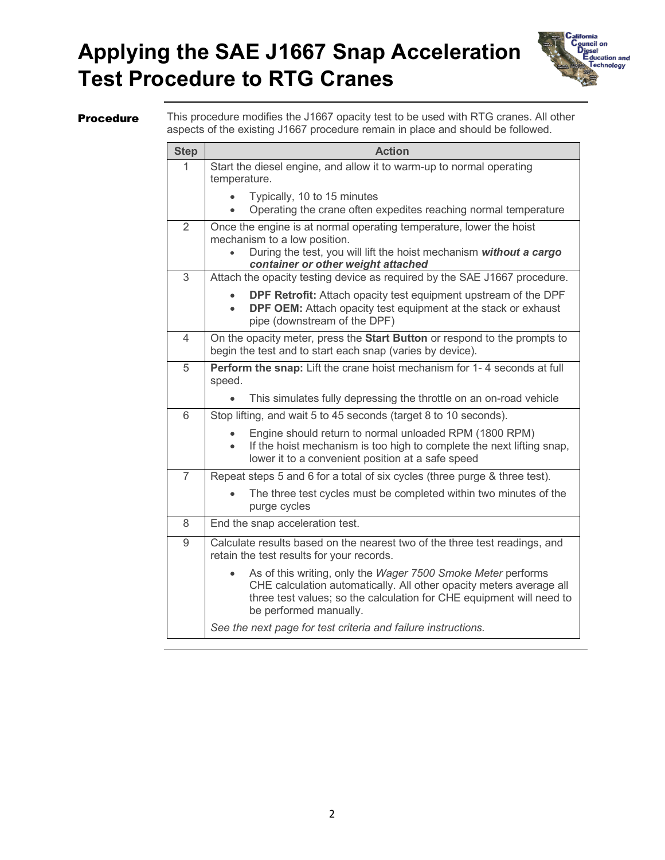## **Test Procedure to RTG Cranes Applying the SAE J1667 Snap Acceleration**



**Procedure** This procedure modifies the J1667 opacity test to be used with RTG cranes. All other aspects of the existing J1667 procedure remain in place and should be followed.

| <b>Step</b>    | <b>Action</b>                                                                                                                                                                                                                         |  |  |
|----------------|---------------------------------------------------------------------------------------------------------------------------------------------------------------------------------------------------------------------------------------|--|--|
| 1              | Start the diesel engine, and allow it to warm-up to normal operating                                                                                                                                                                  |  |  |
|                | temperature.                                                                                                                                                                                                                          |  |  |
|                | Typically, 10 to 15 minutes<br>Operating the crane often expedites reaching normal temperature                                                                                                                                        |  |  |
| $\overline{2}$ | Once the engine is at normal operating temperature, lower the hoist                                                                                                                                                                   |  |  |
|                | mechanism to a low position.                                                                                                                                                                                                          |  |  |
|                | During the test, you will lift the hoist mechanism without a cargo<br>container or other weight attached                                                                                                                              |  |  |
| 3              | Attach the opacity testing device as required by the SAE J1667 procedure.                                                                                                                                                             |  |  |
|                | DPF Retrofit: Attach opacity test equipment upstream of the DPF<br>DPF OEM: Attach opacity test equipment at the stack or exhaust<br>pipe (downstream of the DPF)                                                                     |  |  |
| $\overline{4}$ | On the opacity meter, press the Start Button or respond to the prompts to<br>begin the test and to start each snap (varies by device).                                                                                                |  |  |
| 5              | Perform the snap: Lift the crane hoist mechanism for 1-4 seconds at full<br>speed.                                                                                                                                                    |  |  |
|                | This simulates fully depressing the throttle on an on-road vehicle                                                                                                                                                                    |  |  |
| 6              | Stop lifting, and wait 5 to 45 seconds (target 8 to 10 seconds).                                                                                                                                                                      |  |  |
|                | Engine should return to normal unloaded RPM (1800 RPM)<br>If the hoist mechanism is too high to complete the next lifting snap,<br>$\bullet$<br>lower it to a convenient position at a safe speed                                     |  |  |
| $\overline{7}$ | Repeat steps 5 and 6 for a total of six cycles (three purge & three test).                                                                                                                                                            |  |  |
|                | The three test cycles must be completed within two minutes of the<br>purge cycles                                                                                                                                                     |  |  |
| 8              | End the snap acceleration test.                                                                                                                                                                                                       |  |  |
| 9              | Calculate results based on the nearest two of the three test readings, and<br>retain the test results for your records.                                                                                                               |  |  |
|                | As of this writing, only the Wager 7500 Smoke Meter performs<br>CHE calculation automatically. All other opacity meters average all<br>three test values; so the calculation for CHE equipment will need to<br>be performed manually. |  |  |
|                | See the next page for test criteria and failure instructions.                                                                                                                                                                         |  |  |